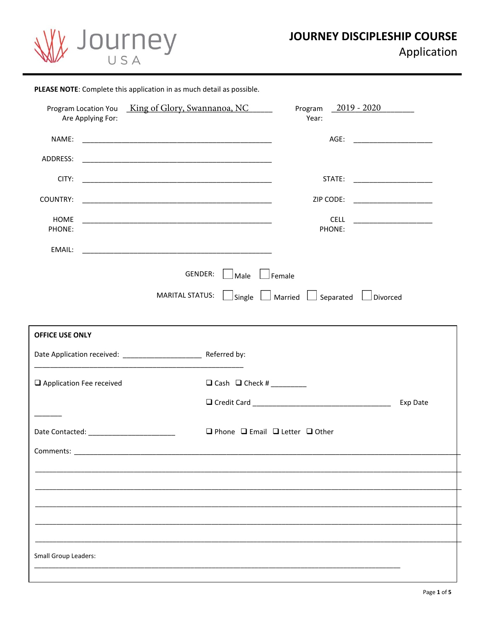

| Program Location You King of Glory, Swannanoa, NC<br>Are Applying For:<br>NAME:<br><u> 1990 - Johann Harry Harry Harry Harry Harry Harry Harry Harry Harry Harry Harry Harry Harry Harry Harry Harry</u><br>CITY:<br>HOME<br>PHONE:<br>EMAIL:<br>GENDER:<br>Male<br><b>MARITAL STATUS:</b> | Program $2019 - 2020$<br>Year:<br>AGE: _______________________<br>STATE: ______________________<br>ZIP CODE:<br><b>CELL</b><br>PHONE:<br>Female<br>$\Box$ Single $\Box$ Married $\Box$ Separated $\Box$ Divorced |
|--------------------------------------------------------------------------------------------------------------------------------------------------------------------------------------------------------------------------------------------------------------------------------------------|------------------------------------------------------------------------------------------------------------------------------------------------------------------------------------------------------------------|
| ADDRESS:                                                                                                                                                                                                                                                                                   |                                                                                                                                                                                                                  |
|                                                                                                                                                                                                                                                                                            |                                                                                                                                                                                                                  |
|                                                                                                                                                                                                                                                                                            |                                                                                                                                                                                                                  |
| COUNTRY:                                                                                                                                                                                                                                                                                   |                                                                                                                                                                                                                  |
|                                                                                                                                                                                                                                                                                            |                                                                                                                                                                                                                  |
|                                                                                                                                                                                                                                                                                            |                                                                                                                                                                                                                  |
|                                                                                                                                                                                                                                                                                            |                                                                                                                                                                                                                  |
|                                                                                                                                                                                                                                                                                            |                                                                                                                                                                                                                  |
| <b>OFFICE USE ONLY</b>                                                                                                                                                                                                                                                                     |                                                                                                                                                                                                                  |
|                                                                                                                                                                                                                                                                                            |                                                                                                                                                                                                                  |
|                                                                                                                                                                                                                                                                                            |                                                                                                                                                                                                                  |
|                                                                                                                                                                                                                                                                                            |                                                                                                                                                                                                                  |
| $\Box$ Cash $\Box$ Check # ________<br>$\Box$ Application Fee received                                                                                                                                                                                                                     |                                                                                                                                                                                                                  |
|                                                                                                                                                                                                                                                                                            | Exp Date                                                                                                                                                                                                         |
|                                                                                                                                                                                                                                                                                            | $\Box$ Phone $\Box$ Email $\Box$ Letter $\Box$ Other                                                                                                                                                             |
| Comments: ____________                                                                                                                                                                                                                                                                     |                                                                                                                                                                                                                  |
|                                                                                                                                                                                                                                                                                            |                                                                                                                                                                                                                  |
|                                                                                                                                                                                                                                                                                            |                                                                                                                                                                                                                  |
|                                                                                                                                                                                                                                                                                            |                                                                                                                                                                                                                  |
|                                                                                                                                                                                                                                                                                            |                                                                                                                                                                                                                  |
|                                                                                                                                                                                                                                                                                            |                                                                                                                                                                                                                  |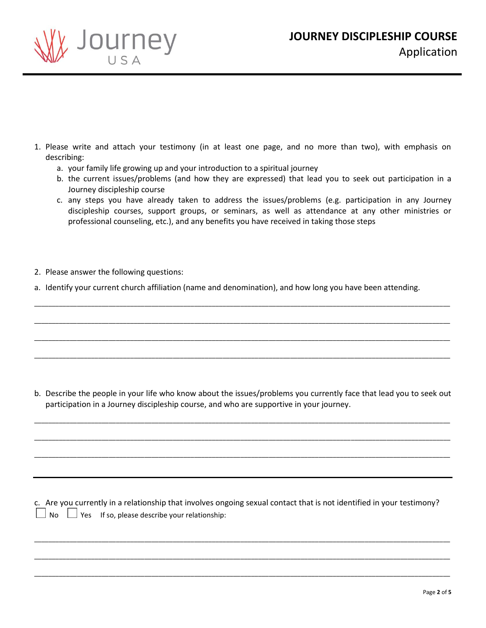



- 1. Please write and attach your testimony (in at least one page, and no more than two), with emphasis on describing:
	- a. your family life growing up and your introduction to a spiritual journey
	- b. the current issues/problems (and how they are expressed) that lead you to seek out participation in a Journey discipleship course
	- c. any steps you have already taken to address the issues/problems (e.g. participation in any Journey discipleship courses, support groups, or seminars, as well as attendance at any other ministries or professional counseling, etc.), and any benefits you have received in taking those steps
- 2. Please answer the following questions:
- a. Identify your current church affiliation (name and denomination), and how long you have been attending.

\_\_\_\_\_\_\_\_\_\_\_\_\_\_\_\_\_\_\_\_\_\_\_\_\_\_\_\_\_\_\_\_\_\_\_\_\_\_\_\_\_\_\_\_\_\_\_\_\_\_\_\_\_\_\_\_\_\_\_\_\_\_\_\_\_\_\_\_\_\_\_\_\_\_\_\_\_\_\_\_\_\_\_\_\_\_\_\_\_\_\_\_\_\_\_\_\_\_\_\_\_\_\_\_\_\_\_\_\_\_\_\_\_\_\_\_\_

\_\_\_\_\_\_\_\_\_\_\_\_\_\_\_\_\_\_\_\_\_\_\_\_\_\_\_\_\_\_\_\_\_\_\_\_\_\_\_\_\_\_\_\_\_\_\_\_\_\_\_\_\_\_\_\_\_\_\_\_\_\_\_\_\_\_\_\_\_\_\_\_\_\_\_\_\_\_\_\_\_\_\_\_\_\_\_\_\_\_\_\_\_\_\_\_\_\_\_\_\_\_\_\_\_\_\_\_\_\_\_\_\_\_\_\_\_

\_\_\_\_\_\_\_\_\_\_\_\_\_\_\_\_\_\_\_\_\_\_\_\_\_\_\_\_\_\_\_\_\_\_\_\_\_\_\_\_\_\_\_\_\_\_\_\_\_\_\_\_\_\_\_\_\_\_\_\_\_\_\_\_\_\_\_\_\_\_\_\_\_\_\_\_\_\_\_\_\_\_\_\_\_\_\_\_\_\_\_\_\_\_\_\_\_\_\_\_\_\_\_\_\_\_\_\_\_\_\_\_\_\_\_\_\_

\_\_\_\_\_\_\_\_\_\_\_\_\_\_\_\_\_\_\_\_\_\_\_\_\_\_\_\_\_\_\_\_\_\_\_\_\_\_\_\_\_\_\_\_\_\_\_\_\_\_\_\_\_\_\_\_\_\_\_\_\_\_\_\_\_\_\_\_\_\_\_\_\_\_\_\_\_\_\_\_\_\_\_\_\_\_\_\_\_\_\_\_\_\_\_\_\_\_\_\_\_\_\_\_\_\_\_\_\_\_\_\_\_\_\_\_\_

b. Describe the people in your life who know about the issues/problems you currently face that lead you to seek out participation in a Journey discipleship course, and who are supportive in your journey.

\_\_\_\_\_\_\_\_\_\_\_\_\_\_\_\_\_\_\_\_\_\_\_\_\_\_\_\_\_\_\_\_\_\_\_\_\_\_\_\_\_\_\_\_\_\_\_\_\_\_\_\_\_\_\_\_\_\_\_\_\_\_\_\_\_\_\_\_\_\_\_\_\_\_\_\_\_\_\_\_\_\_\_\_\_\_\_\_\_\_\_\_\_\_\_\_\_\_\_\_\_\_\_\_\_\_\_\_\_\_\_\_\_\_\_\_\_

\_\_\_\_\_\_\_\_\_\_\_\_\_\_\_\_\_\_\_\_\_\_\_\_\_\_\_\_\_\_\_\_\_\_\_\_\_\_\_\_\_\_\_\_\_\_\_\_\_\_\_\_\_\_\_\_\_\_\_\_\_\_\_\_\_\_\_\_\_\_\_\_\_\_\_\_\_\_\_\_\_\_\_\_\_\_\_\_\_\_\_\_\_\_\_\_\_\_\_\_\_\_\_\_\_\_\_\_\_\_\_\_\_\_\_\_\_

\_\_\_\_\_\_\_\_\_\_\_\_\_\_\_\_\_\_\_\_\_\_\_\_\_\_\_\_\_\_\_\_\_\_\_\_\_\_\_\_\_\_\_\_\_\_\_\_\_\_\_\_\_\_\_\_\_\_\_\_\_\_\_\_\_\_\_\_\_\_\_\_\_\_\_\_\_\_\_\_\_\_\_\_\_\_\_\_\_\_\_\_\_\_\_\_\_\_\_\_\_\_\_\_\_\_\_\_\_\_\_\_\_\_\_\_\_

c. Are you currently in a relationship that involves ongoing sexual contact that is not identified in your testimony?  $\Box$  No  $\Box$  Yes If so, please describe your relationship:

\_\_\_\_\_\_\_\_\_\_\_\_\_\_\_\_\_\_\_\_\_\_\_\_\_\_\_\_\_\_\_\_\_\_\_\_\_\_\_\_\_\_\_\_\_\_\_\_\_\_\_\_\_\_\_\_\_\_\_\_\_\_\_\_\_\_\_\_\_\_\_\_\_\_\_\_\_\_\_\_\_\_\_\_\_\_\_\_\_\_\_\_\_\_\_\_\_\_\_\_\_\_\_\_\_\_\_\_\_\_\_\_\_\_\_\_\_

\_\_\_\_\_\_\_\_\_\_\_\_\_\_\_\_\_\_\_\_\_\_\_\_\_\_\_\_\_\_\_\_\_\_\_\_\_\_\_\_\_\_\_\_\_\_\_\_\_\_\_\_\_\_\_\_\_\_\_\_\_\_\_\_\_\_\_\_\_\_\_\_\_\_\_\_\_\_\_\_\_\_\_\_\_\_\_\_\_\_\_\_\_\_\_\_\_\_\_\_\_\_\_\_\_\_\_\_\_\_\_\_\_\_\_\_\_

\_\_\_\_\_\_\_\_\_\_\_\_\_\_\_\_\_\_\_\_\_\_\_\_\_\_\_\_\_\_\_\_\_\_\_\_\_\_\_\_\_\_\_\_\_\_\_\_\_\_\_\_\_\_\_\_\_\_\_\_\_\_\_\_\_\_\_\_\_\_\_\_\_\_\_\_\_\_\_\_\_\_\_\_\_\_\_\_\_\_\_\_\_\_\_\_\_\_\_\_\_\_\_\_\_\_\_\_\_\_\_\_\_\_\_\_\_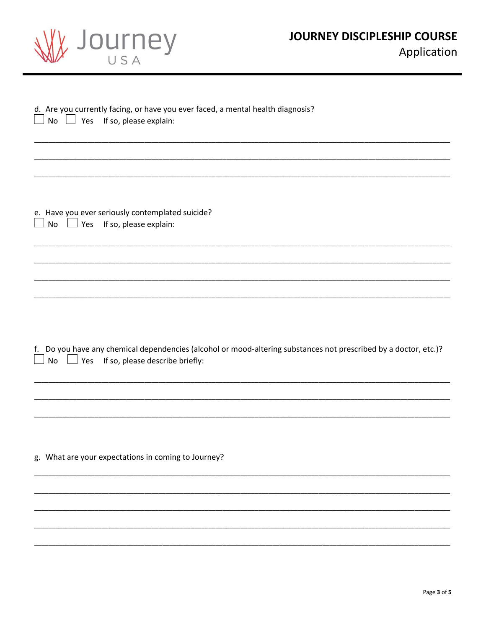| Wy Journey |
|------------|
| USA        |

| d. Are you currently facing, or have you ever faced, a mental health diagnosis?<br>No $\Box$ Yes If so, please explain:                                              |
|----------------------------------------------------------------------------------------------------------------------------------------------------------------------|
|                                                                                                                                                                      |
| e. Have you ever seriously contemplated suicide?<br>No $\Box$ Yes If so, please explain:<br>$\Box$                                                                   |
|                                                                                                                                                                      |
|                                                                                                                                                                      |
| Do you have any chemical dependencies (alcohol or mood-altering substances not prescribed by a doctor, etc.)?<br>f.<br>No $\Box$ Yes If so, please describe briefly: |
|                                                                                                                                                                      |
| g. What are your expectations in coming to Journey?                                                                                                                  |
|                                                                                                                                                                      |
|                                                                                                                                                                      |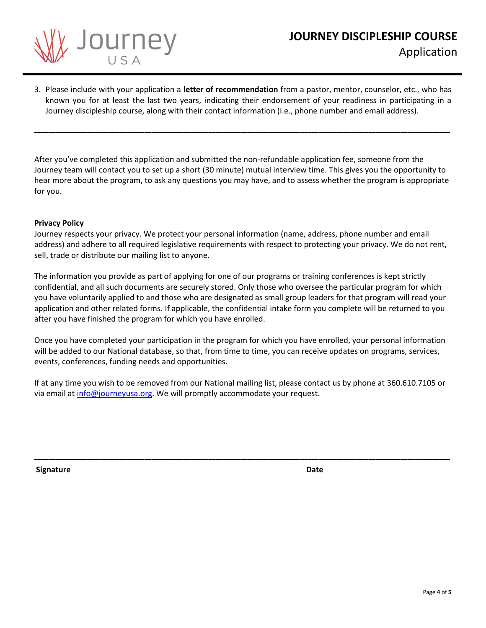

3. Please include with your application a **letter of recommendation** from a pastor, mentor, counselor, etc., who has known you for at least the last two years, indicating their endorsement of your readiness in participating in a Journey discipleship course, along with their contact information (i.e., phone number and email address).

\_\_\_\_\_\_\_\_\_\_\_\_\_\_\_\_\_\_\_\_\_\_\_\_\_\_\_\_\_\_\_\_\_\_\_\_\_\_\_\_\_\_\_\_\_\_\_\_\_\_\_\_\_\_\_\_\_\_\_\_\_\_\_\_\_\_\_\_\_\_\_\_\_\_\_\_\_\_\_\_\_\_\_\_\_\_\_\_\_\_\_\_\_\_\_\_\_\_\_\_\_\_\_\_\_\_\_\_\_\_\_\_\_\_\_\_\_

After you've completed this application and submitted the non-refundable application fee, someone from the Journey team will contact you to set up a short (30 minute) mutual interview time. This gives you the opportunity to hear more about the program, to ask any questions you may have, and to assess whether the program is appropriate for you.

## **Privacy Policy**

Journey respects your privacy. We protect your personal information (name, address, phone number and email address) and adhere to all required legislative requirements with respect to protecting your privacy. We do not rent, sell, trade or distribute our mailing list to anyone.

The information you provide as part of applying for one of our programs or training conferences is kept strictly confidential, and all such documents are securely stored. Only those who oversee the particular program for which you have voluntarily applied to and those who are designated as small group leaders for that program will read your application and other related forms. If applicable, the confidential intake form you complete will be returned to you after you have finished the program for which you have enrolled.

Once you have completed your participation in the program for which you have enrolled, your personal information will be added to our National database, so that, from time to time, you can receive updates on programs, services, events, conferences, funding needs and opportunities.

If at any time you wish to be removed from our National mailing list, please contact us by phone at 360.610.7105 or vi[a email at info@journe](mailto:info@journeyusa.org)yusa.org. We will promptly accommodate your request.

\_\_\_\_\_\_\_\_\_\_\_\_\_\_\_\_\_\_\_\_\_\_\_\_\_\_\_\_\_\_\_\_\_\_\_\_\_\_\_\_\_\_\_\_\_\_\_\_\_\_\_\_\_\_\_\_\_\_\_\_\_\_\_\_\_\_\_\_\_\_\_\_\_\_\_\_\_\_\_\_\_\_\_\_\_\_\_\_\_\_\_\_\_\_\_\_\_\_\_\_\_\_\_\_\_\_\_\_\_\_\_\_\_\_\_\_\_

**Signature** Date **Date**